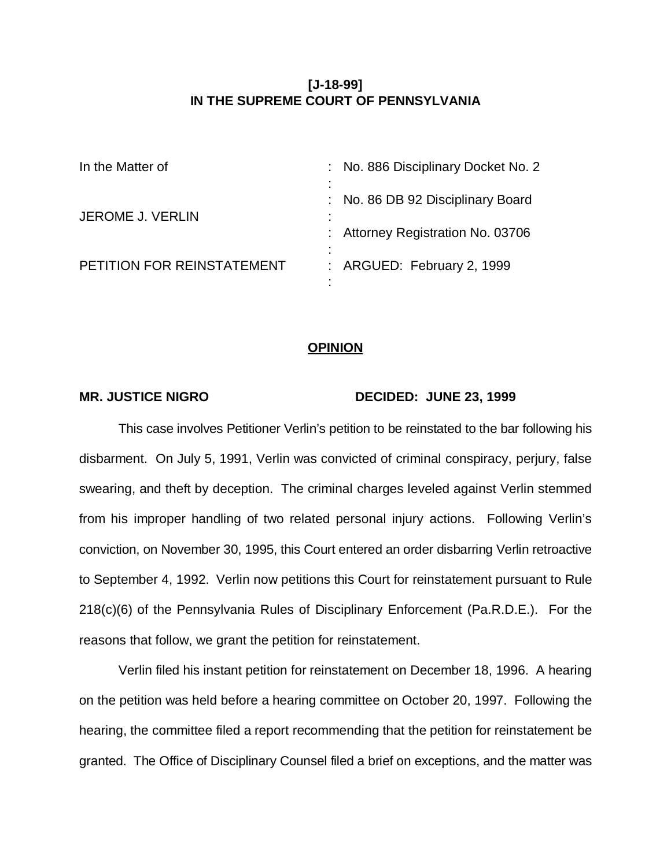# **[J-18-99] IN THE SUPREME COURT OF PENNSYLVANIA**

| In the Matter of           | : No. 886 Disciplinary Docket No. 2    |
|----------------------------|----------------------------------------|
| <b>JEROME J. VERLIN</b>    | : No. 86 DB 92 Disciplinary Board<br>٠ |
|                            | : Attorney Registration No. 03706      |
| PETITION FOR REINSTATEMENT | : ARGUED: February 2, 1999             |
|                            |                                        |

## **OPINION**

### MR. JUSTICE NIGRO DECIDED: JUNE 23, 1999

This case involves Petitioner Verlin's petition to be reinstated to the bar following his disbarment. On July 5, 1991, Verlin was convicted of criminal conspiracy, perjury, false swearing, and theft by deception. The criminal charges leveled against Verlin stemmed from his improper handling of two related personal injury actions. Following Verlin's conviction, on November 30, 1995, this Court entered an order disbarring Verlin retroactive to September 4, 1992. Verlin now petitions this Court for reinstatement pursuant to Rule 218(c)(6) of the Pennsylvania Rules of Disciplinary Enforcement (Pa.R.D.E.). For the reasons that follow, we grant the petition for reinstatement.

Verlin filed his instant petition for reinstatement on December 18, 1996. A hearing on the petition was held before a hearing committee on October 20, 1997. Following the hearing, the committee filed a report recommending that the petition for reinstatement be granted. The Office of Disciplinary Counsel filed a brief on exceptions, and the matter was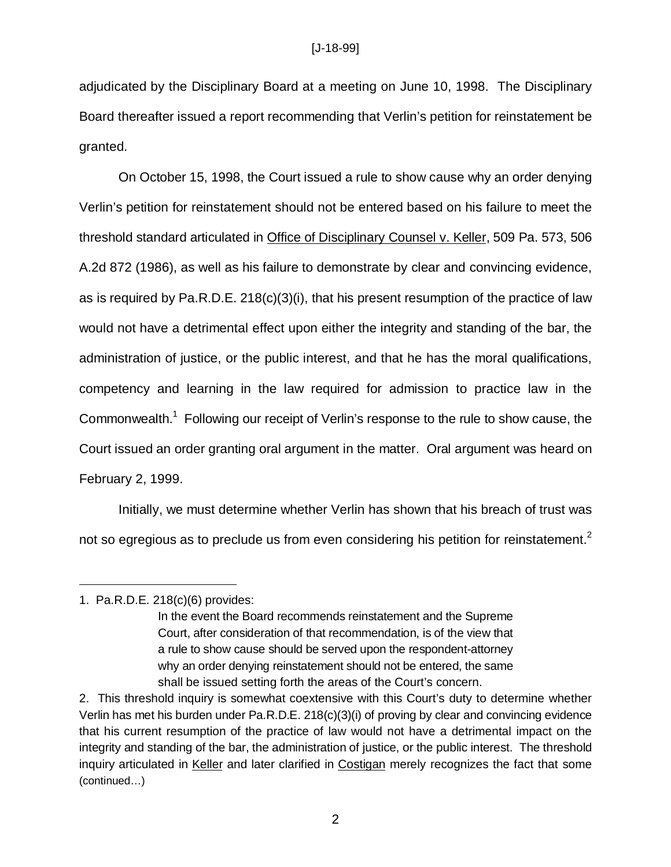adjudicated by the Disciplinary Board at a meeting on June 10, 1998. The Disciplinary Board thereafter issued a report recommending that Verlin's petition for reinstatement be granted.

On October 15, 1998, the Court issued a rule to show cause why an order denying Verlin's petition for reinstatement should not be entered based on his failure to meet the threshold standard articulated in Office of Disciplinary Counsel v. Keller, 509 Pa. 573, 506 A.2d 872 (1986), as well as his failure to demonstrate by clear and convincing evidence, as is required by Pa.R.D.E. 218(c)(3)(i), that his present resumption of the practice of law would not have a detrimental effect upon either the integrity and standing of the bar, the administration of justice, or the public interest, and that he has the moral qualifications, competency and learning in the law required for admission to practice law in the Commonwealth.<sup>1</sup> Following our receipt of Verlin's response to the rule to show cause, the Court issued an order granting oral argument in the matter. Oral argument was heard on February 2, 1999.

Initially, we must determine whether Verlin has shown that his breach of trust was not so egregious as to preclude us from even considering his petition for reinstatement.<sup>2</sup>

## 1. Pa.R.D.E. 218(c)(6) provides:

In the event the Board recommends reinstatement and the Supreme Court, after consideration of that recommendation, is of the view that a rule to show cause should be served upon the respondent-attorney why an order denying reinstatement should not be entered, the same shall be issued setting forth the areas of the Court's concern.

<sup>2.</sup> This threshold inquiry is somewhat coextensive with this Court's duty to determine whether Verlin has met his burden under Pa.R.D.E. 218(c)(3)(i) of proving by clear and convincing evidence that his current resumption of the practice of law would not have a detrimental impact on the integrity and standing of the bar, the administration of justice, or the public interest. The threshold inquiry articulated in Keller and later clarified in Costigan merely recognizes the fact that some (continued…)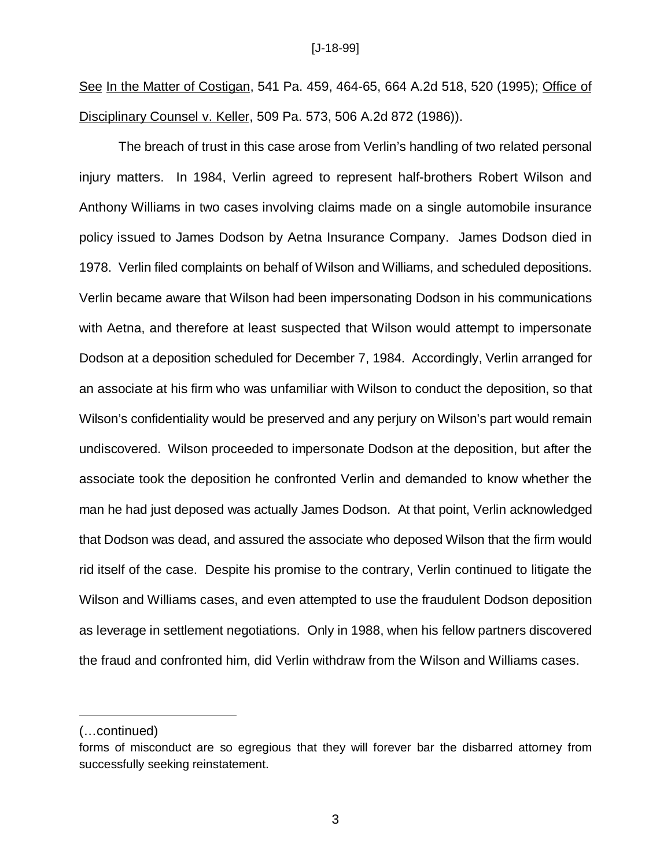See In the Matter of Costigan, 541 Pa. 459, 464-65, 664 A.2d 518, 520 (1995); Office of Disciplinary Counsel v. Keller, 509 Pa. 573, 506 A.2d 872 (1986)).

The breach of trust in this case arose from Verlin's handling of two related personal injury matters. In 1984, Verlin agreed to represent half-brothers Robert Wilson and Anthony Williams in two cases involving claims made on a single automobile insurance policy issued to James Dodson by Aetna Insurance Company. James Dodson died in 1978. Verlin filed complaints on behalf of Wilson and Williams, and scheduled depositions. Verlin became aware that Wilson had been impersonating Dodson in his communications with Aetna, and therefore at least suspected that Wilson would attempt to impersonate Dodson at a deposition scheduled for December 7, 1984. Accordingly, Verlin arranged for an associate at his firm who was unfamiliar with Wilson to conduct the deposition, so that Wilson's confidentiality would be preserved and any perjury on Wilson's part would remain undiscovered. Wilson proceeded to impersonate Dodson at the deposition, but after the associate took the deposition he confronted Verlin and demanded to know whether the man he had just deposed was actually James Dodson. At that point, Verlin acknowledged that Dodson was dead, and assured the associate who deposed Wilson that the firm would rid itself of the case. Despite his promise to the contrary, Verlin continued to litigate the Wilson and Williams cases, and even attempted to use the fraudulent Dodson deposition as leverage in settlement negotiations. Only in 1988, when his fellow partners discovered the fraud and confronted him, did Verlin withdraw from the Wilson and Williams cases.

<sup>(…</sup>continued)

forms of misconduct are so egregious that they will forever bar the disbarred attorney from successfully seeking reinstatement.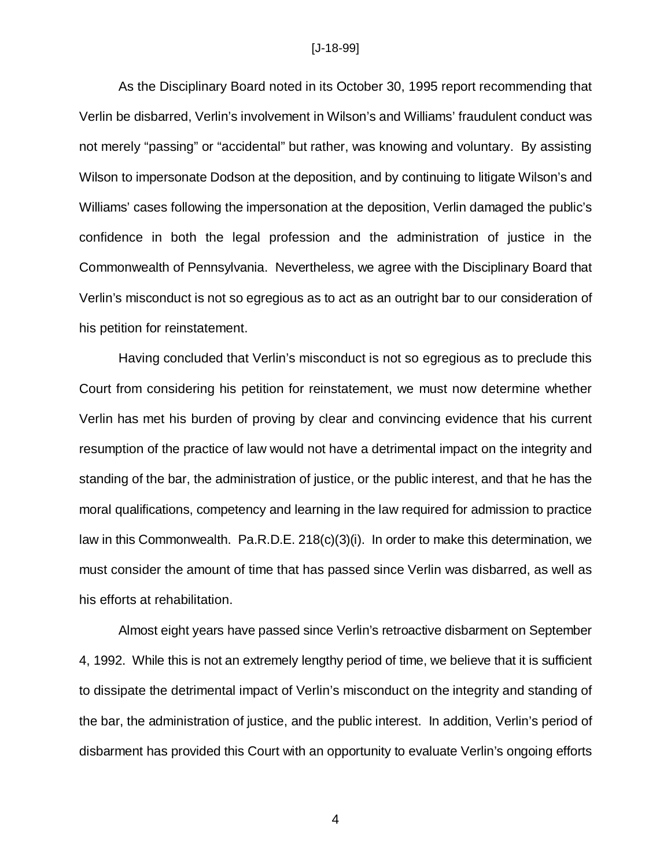#### [J-18-99]

As the Disciplinary Board noted in its October 30, 1995 report recommending that Verlin be disbarred, Verlin's involvement in Wilson's and Williams' fraudulent conduct was not merely "passing" or "accidental" but rather, was knowing and voluntary. By assisting Wilson to impersonate Dodson at the deposition, and by continuing to litigate Wilson's and Williams' cases following the impersonation at the deposition, Verlin damaged the public's confidence in both the legal profession and the administration of justice in the Commonwealth of Pennsylvania. Nevertheless, we agree with the Disciplinary Board that Verlin's misconduct is not so egregious as to act as an outright bar to our consideration of his petition for reinstatement.

Having concluded that Verlin's misconduct is not so egregious as to preclude this Court from considering his petition for reinstatement, we must now determine whether Verlin has met his burden of proving by clear and convincing evidence that his current resumption of the practice of law would not have a detrimental impact on the integrity and standing of the bar, the administration of justice, or the public interest, and that he has the moral qualifications, competency and learning in the law required for admission to practice law in this Commonwealth. Pa.R.D.E. 218(c)(3)(i). In order to make this determination, we must consider the amount of time that has passed since Verlin was disbarred, as well as his efforts at rehabilitation.

Almost eight years have passed since Verlin's retroactive disbarment on September 4, 1992. While this is not an extremely lengthy period of time, we believe that it is sufficient to dissipate the detrimental impact of Verlin's misconduct on the integrity and standing of the bar, the administration of justice, and the public interest. In addition, Verlin's period of disbarment has provided this Court with an opportunity to evaluate Verlin's ongoing efforts

4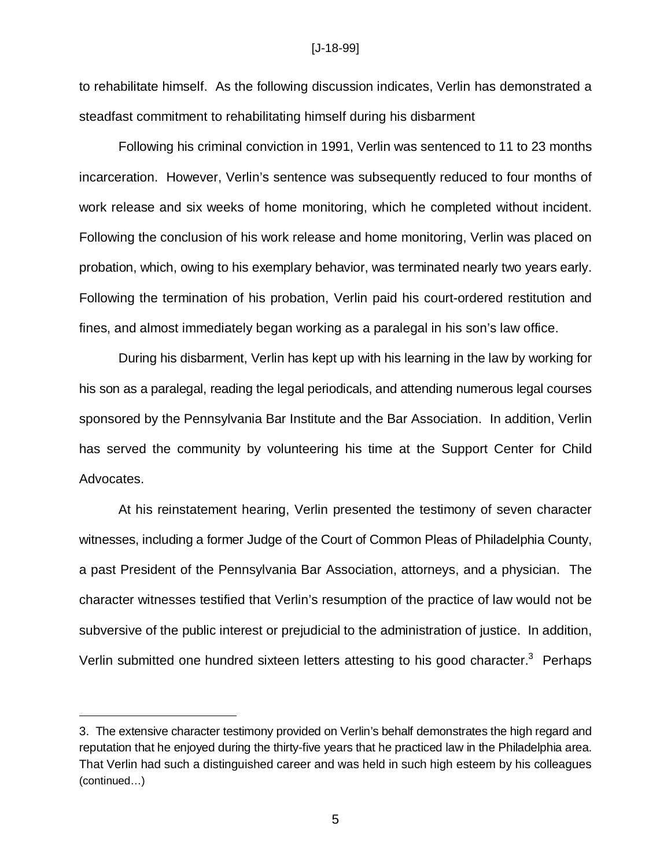#### [J-18-99]

to rehabilitate himself. As the following discussion indicates, Verlin has demonstrated a steadfast commitment to rehabilitating himself during his disbarment

Following his criminal conviction in 1991, Verlin was sentenced to 11 to 23 months incarceration. However, Verlin's sentence was subsequently reduced to four months of work release and six weeks of home monitoring, which he completed without incident. Following the conclusion of his work release and home monitoring, Verlin was placed on probation, which, owing to his exemplary behavior, was terminated nearly two years early. Following the termination of his probation, Verlin paid his court-ordered restitution and fines, and almost immediately began working as a paralegal in his son's law office.

During his disbarment, Verlin has kept up with his learning in the law by working for his son as a paralegal, reading the legal periodicals, and attending numerous legal courses sponsored by the Pennsylvania Bar Institute and the Bar Association. In addition, Verlin has served the community by volunteering his time at the Support Center for Child Advocates.

At his reinstatement hearing, Verlin presented the testimony of seven character witnesses, including a former Judge of the Court of Common Pleas of Philadelphia County, a past President of the Pennsylvania Bar Association, attorneys, and a physician. The character witnesses testified that Verlin's resumption of the practice of law would not be subversive of the public interest or prejudicial to the administration of justice. In addition, Verlin submitted one hundred sixteen letters attesting to his good character.<sup>3</sup> Perhaps

<sup>3.</sup> The extensive character testimony provided on Verlin's behalf demonstrates the high regard and reputation that he enjoyed during the thirty-five years that he practiced law in the Philadelphia area. That Verlin had such a distinguished career and was held in such high esteem by his colleagues (continued…)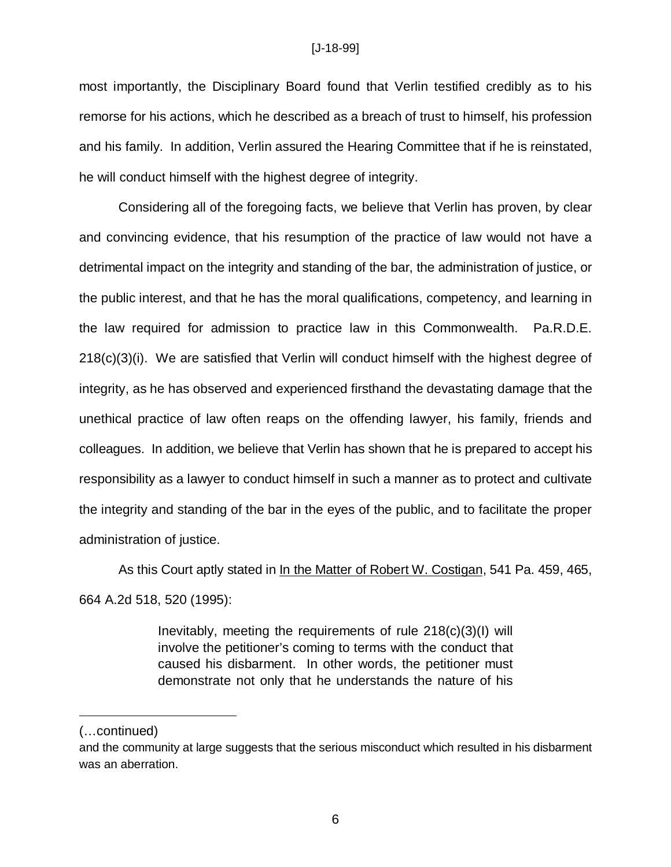most importantly, the Disciplinary Board found that Verlin testified credibly as to his remorse for his actions, which he described as a breach of trust to himself, his profession and his family. In addition, Verlin assured the Hearing Committee that if he is reinstated, he will conduct himself with the highest degree of integrity.

Considering all of the foregoing facts, we believe that Verlin has proven, by clear and convincing evidence, that his resumption of the practice of law would not have a detrimental impact on the integrity and standing of the bar, the administration of justice, or the public interest, and that he has the moral qualifications, competency, and learning in the law required for admission to practice law in this Commonwealth. Pa.R.D.E. 218(c)(3)(i). We are satisfied that Verlin will conduct himself with the highest degree of integrity, as he has observed and experienced firsthand the devastating damage that the unethical practice of law often reaps on the offending lawyer, his family, friends and colleagues. In addition, we believe that Verlin has shown that he is prepared to accept his responsibility as a lawyer to conduct himself in such a manner as to protect and cultivate the integrity and standing of the bar in the eyes of the public, and to facilitate the proper administration of justice.

As this Court aptly stated in In the Matter of Robert W. Costigan, 541 Pa. 459, 465, 664 A.2d 518, 520 (1995):

> Inevitably, meeting the requirements of rule 218(c)(3)(I) will involve the petitioner's coming to terms with the conduct that caused his disbarment. In other words, the petitioner must demonstrate not only that he understands the nature of his

<sup>(…</sup>continued)

and the community at large suggests that the serious misconduct which resulted in his disbarment was an aberration.